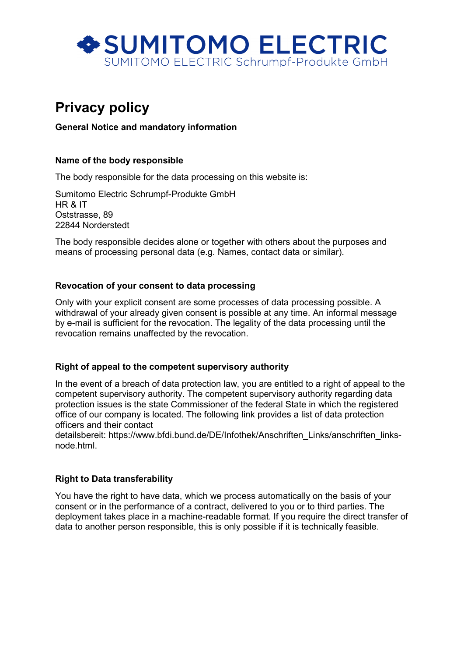

# Privacy policy

# General Notice and mandatory information

## Name of the body responsible

The body responsible for the data processing on this website is:

Sumitomo Electric Schrumpf-Produkte GmbH HR & IT Oststrasse, 89 22844 Norderstedt

The body responsible decides alone or together with others about the purposes and means of processing personal data (e.g. Names, contact data or similar).

## Revocation of your consent to data processing

Only with your explicit consent are some processes of data processing possible. A withdrawal of your already given consent is possible at any time. An informal message by e-mail is sufficient for the revocation. The legality of the data processing until the revocation remains unaffected by the revocation.

#### Right of appeal to the competent supervisory authority

In the event of a breach of data protection law, you are entitled to a right of appeal to the competent supervisory authority. The competent supervisory authority regarding data protection issues is the state Commissioner of the federal State in which the registered office of our company is located. The following link provides a list of data protection officers and their contact

detailsbereit: https://www.bfdi.bund.de/DE/Infothek/Anschriften\_Links/anschriften\_linksnode.html.

## Right to Data transferability

You have the right to have data, which we process automatically on the basis of your consent or in the performance of a contract, delivered to you or to third parties. The deployment takes place in a machine-readable format. If you require the direct transfer of data to another person responsible, this is only possible if it is technically feasible.